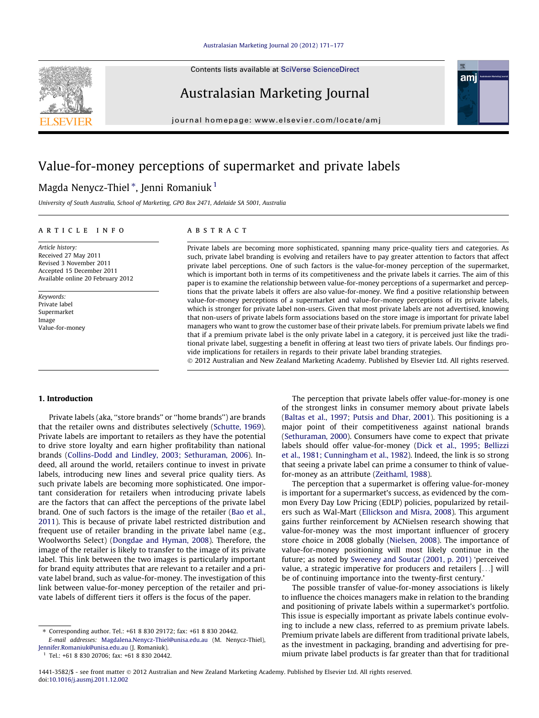#### [Australasian Marketing Journal 20 \(2012\) 171–177](http://dx.doi.org/10.1016/j.ausmj.2011.12.002)

Contents lists available at [SciVerse ScienceDirect](http://www.sciencedirect.com/science/journal/14413582)

### Australasian Marketing Journal

journal homepage: [www.elsevier.com/locate/amj](http://www.elsevier.com/locate/amj)

# Value-for-money perceptions of supermarket and private labels

### Magda Nenycz-Thiel  $^\ast$ , Jenni Romaniuk  $^1$

University of South Australia, School of Marketing, GPO Box 2471, Adelaide SA 5001, Australia

#### article info

Article history: Received 27 May 2011 Revised 3 November 2011 Accepted 15 December 2011 Available online 20 February 2012

Keywords: Private label Supermarket Image Value-for-money

#### **ABSTRACT**

Private labels are becoming more sophisticated, spanning many price-quality tiers and categories. As such, private label branding is evolving and retailers have to pay greater attention to factors that affect private label perceptions. One of such factors is the value-for-money perception of the supermarket, which is important both in terms of its competitiveness and the private labels it carries. The aim of this paper is to examine the relationship between value-for-money perceptions of a supermarket and perceptions that the private labels it offers are also value-for-money. We find a positive relationship between value-for-money perceptions of a supermarket and value-for-money perceptions of its private labels, which is stronger for private label non-users. Given that most private labels are not advertised, knowing that non-users of private labels form associations based on the store image is important for private label managers who want to grow the customer base of their private labels. For premium private labels we find that if a premium private label is the only private label in a category, it is perceived just like the traditional private label, suggesting a benefit in offering at least two tiers of private labels. Our findings provide implications for retailers in regards to their private label branding strategies.

- 2012 Australian and New Zealand Marketing Academy. Published by Elsevier Ltd. All rights reserved.

#### 1. Introduction

Private labels (aka, ''store brands'' or ''home brands'') are brands that the retailer owns and distributes selectively [\(Schutte, 1969\)](#page--1-0). Private labels are important to retailers as they have the potential to drive store loyalty and earn higher profitability than national brands [\(Collins-Dodd and Lindley, 2003; Sethuraman, 2006](#page--1-0)). Indeed, all around the world, retailers continue to invest in private labels, introducing new lines and several price quality tiers. As such private labels are becoming more sophisticated. One important consideration for retailers when introducing private labels are the factors that can affect the perceptions of the private label brand. One of such factors is the image of the retailer ([Bao et al.,](#page--1-0) [2011\)](#page--1-0). This is because of private label restricted distribution and frequent use of retailer branding in the private label name (e.g., Woolworths Select) ([Dongdae and Hyman, 2008](#page--1-0)). Therefore, the image of the retailer is likely to transfer to the image of its private label. This link between the two images is particularly important for brand equity attributes that are relevant to a retailer and a private label brand, such as value-for-money. The investigation of this link between value-for-money perception of the retailer and private labels of different tiers it offers is the focus of the paper.

[Jennifer.Romaniuk@unisa.edu.au](mailto:Jennifer.Romaniuk@unisa.edu.au) (J. Romaniuk).  $1$  Tel.: +61 8 830 20706; fax: +61 8 830 20442.

The perception that private labels offer value-for-money is one of the strongest links in consumer memory about private labels ([Baltas et al., 1997; Putsis and Dhar, 2001\)](#page--1-0). This positioning is a major point of their competitiveness against national brands ([Sethuraman, 2000\)](#page--1-0). Consumers have come to expect that private labels should offer value-for-money ([Dick et al., 1995; Bellizzi](#page--1-0) [et al., 1981; Cunningham et al., 1982\)](#page--1-0). Indeed, the link is so strong that seeing a private label can prime a consumer to think of valuefor-money as an attribute [\(Zeithaml, 1988](#page--1-0)).

The perception that a supermarket is offering value-for-money is important for a supermarket's success, as evidenced by the common Every Day Low Pricing (EDLP) policies, popularized by retailers such as Wal-Mart [\(Ellickson and Misra, 2008](#page--1-0)). This argument gains further reinforcement by ACNielsen research showing that value-for-money was the most important influencer of grocery store choice in 2008 globally ([Nielsen, 2008](#page--1-0)). The importance of value-for-money positioning will most likely continue in the future; as noted by [Sweeney and Soutar \(2001, p. 201\)](#page--1-0) 'perceived value, a strategic imperative for producers and retailers [...] will be of continuing importance into the twenty-first century.

The possible transfer of value-for-money associations is likely to influence the choices managers make in relation to the branding and positioning of private labels within a supermarket's portfolio. This issue is especially important as private labels continue evolving to include a new class, referred to as premium private labels. Premium private labels are different from traditional private labels, as the investment in packaging, branding and advertising for premium private label products is far greater than that for traditional





<sup>⇑</sup> Corresponding author. Tel.: +61 8 830 29172; fax: +61 8 830 20442. E-mail addresses: [Magdalena.Nenycz-Thiel@unisa.edu.au](mailto:Magdalena.Nenycz-Thiel@unisa.edu.au) (M. Nenycz-Thiel),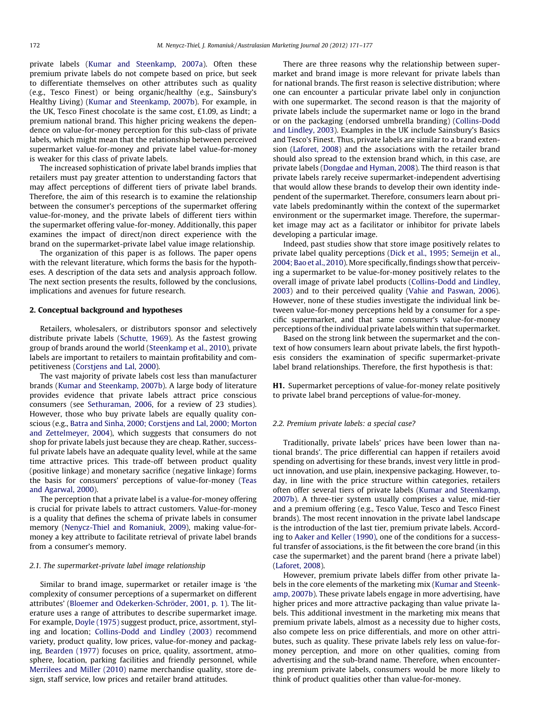private labels ([Kumar and Steenkamp, 2007a](#page--1-0)). Often these premium private labels do not compete based on price, but seek to differentiate themselves on other attributes such as quality (e.g., Tesco Finest) or being organic/healthy (e.g., Sainsbury's Healthy Living) ([Kumar and Steenkamp, 2007b](#page--1-0)). For example, in the UK, Tesco Finest chocolate is the same cost, £1.09, as Lindt; a premium national brand. This higher pricing weakens the dependence on value-for-money perception for this sub-class of private labels, which might mean that the relationship between perceived supermarket value-for-money and private label value-for-money is weaker for this class of private labels.

The increased sophistication of private label brands implies that retailers must pay greater attention to understanding factors that may affect perceptions of different tiers of private label brands. Therefore, the aim of this research is to examine the relationship between the consumer's perceptions of the supermarket offering value-for-money, and the private labels of different tiers within the supermarket offering value-for-money. Additionally, this paper examines the impact of direct/non direct experience with the brand on the supermarket-private label value image relationship.

The organization of this paper is as follows. The paper opens with the relevant literature, which forms the basis for the hypotheses. A description of the data sets and analysis approach follow. The next section presents the results, followed by the conclusions, implications and avenues for future research.

#### 2. Conceptual background and hypotheses

Retailers, wholesalers, or distributors sponsor and selectively distribute private labels ([Schutte, 1969](#page--1-0)). As the fastest growing group of brands around the world [\(Steenkamp et al., 2010](#page--1-0)), private labels are important to retailers to maintain profitability and competitiveness ([Corstjens and Lal, 2000](#page--1-0)).

The vast majority of private labels cost less than manufacturer brands [\(Kumar and Steenkamp, 2007b](#page--1-0)). A large body of literature provides evidence that private labels attract price conscious consumers (see [Sethuraman, 2006,](#page--1-0) for a review of 23 studies). However, those who buy private labels are equally quality conscious (e.g., [Batra and Sinha, 2000; Corstjens and Lal, 2000; Morton](#page--1-0) [and Zettelmeyer, 2004](#page--1-0)), which suggests that consumers do not shop for private labels just because they are cheap. Rather, successful private labels have an adequate quality level, while at the same time attractive prices. This trade-off between product quality (positive linkage) and monetary sacrifice (negative linkage) forms the basis for consumers' perceptions of value-for-money ([Teas](#page--1-0) [and Agarwal, 2000\)](#page--1-0).

The perception that a private label is a value-for-money offering is crucial for private labels to attract customers. Value-for-money is a quality that defines the schema of private labels in consumer memory [\(Nenycz-Thiel and Romaniuk, 2009\)](#page--1-0), making value-formoney a key attribute to facilitate retrieval of private label brands from a consumer's memory.

#### 2.1. The supermarket-private label image relationship

Similar to brand image, supermarket or retailer image is 'the complexity of consumer perceptions of a supermarket on different attributes' [\(Bloemer and Odekerken-Schröder, 2001, p. 1](#page--1-0)). The literature uses a range of attributes to describe supermarket image. For example, [Doyle \(1975\)](#page--1-0) suggest product, price, assortment, styling and location; [Collins-Dodd and Lindley \(2003\)](#page--1-0) recommend variety, product quality, low prices, value-for-money and packaging, [Bearden \(1977](#page--1-0)) focuses on price, quality, assortment, atmosphere, location, parking facilities and friendly personnel, while [Merrilees and Miller \(2010\)](#page--1-0) name merchandise quality, store design, staff service, low prices and retailer brand attitudes.

There are three reasons why the relationship between supermarket and brand image is more relevant for private labels than for national brands. The first reason is selective distribution; where one can encounter a particular private label only in conjunction with one supermarket. The second reason is that the majority of private labels include the supermarket name or logo in the brand or on the packaging (endorsed umbrella branding) ([Collins-Dodd](#page--1-0) [and Lindley, 2003](#page--1-0)). Examples in the UK include Sainsbury's Basics and Tesco's Finest. Thus, private labels are similar to a brand extension ([Laforet, 2008](#page--1-0)) and the associations with the retailer brand should also spread to the extension brand which, in this case, are private labels [\(Dongdae and Hyman, 2008\)](#page--1-0). The third reason is that private labels rarely receive supermarket-independent advertising that would allow these brands to develop their own identity independent of the supermarket. Therefore, consumers learn about private labels predominantly within the context of the supermarket environment or the supermarket image. Therefore, the supermarket image may act as a facilitator or inhibitor for private labels developing a particular image.

Indeed, past studies show that store image positively relates to private label quality perceptions [\(Dick et al., 1995; Semeijn et al.,](#page--1-0) [2004; Bao et al., 2010](#page--1-0)). More specifically, findings show that perceiving a supermarket to be value-for-money positively relates to the overall image of private label products ([Collins-Dodd and Lindley,](#page--1-0) [2003\)](#page--1-0) and to their perceived quality ([Vahie and Paswan, 2006\)](#page--1-0). However, none of these studies investigate the individual link between value-for-money perceptions held by a consumer for a specific supermarket, and that same consumer's value-for-money perceptions of the individual private labels within that supermarket.

Based on the strong link between the supermarket and the context of how consumers learn about private labels, the first hypothesis considers the examination of specific supermarket-private label brand relationships. Therefore, the first hypothesis is that:

H1. Supermarket perceptions of value-for-money relate positively to private label brand perceptions of value-for-money.

#### 2.2. Premium private labels: a special case?

Traditionally, private labels' prices have been lower than national brands'. The price differential can happen if retailers avoid spending on advertising for these brands, invest very little in product innovation, and use plain, inexpensive packaging. However, today, in line with the price structure within categories, retailers often offer several tiers of private labels [\(Kumar and Steenkamp,](#page--1-0) [2007b](#page--1-0)). A three-tier system usually comprises a value, mid-tier and a premium offering (e.g., Tesco Value, Tesco and Tesco Finest brands). The most recent innovation in the private label landscape is the introduction of the last tier, premium private labels. According to [Aaker and Keller \(1990\),](#page--1-0) one of the conditions for a successful transfer of associations, is the fit between the core brand (in this case the supermarket) and the parent brand (here a private label) ([Laforet, 2008](#page--1-0)).

However, premium private labels differ from other private labels in the core elements of the marketing mix ([Kumar and Steenk](#page--1-0)[amp, 2007b\)](#page--1-0). These private labels engage in more advertising, have higher prices and more attractive packaging than value private labels. This additional investment in the marketing mix means that premium private labels, almost as a necessity due to higher costs, also compete less on price differentials, and more on other attributes, such as quality. These private labels rely less on value-formoney perception, and more on other qualities, coming from advertising and the sub-brand name. Therefore, when encountering premium private labels, consumers would be more likely to think of product qualities other than value-for-money.